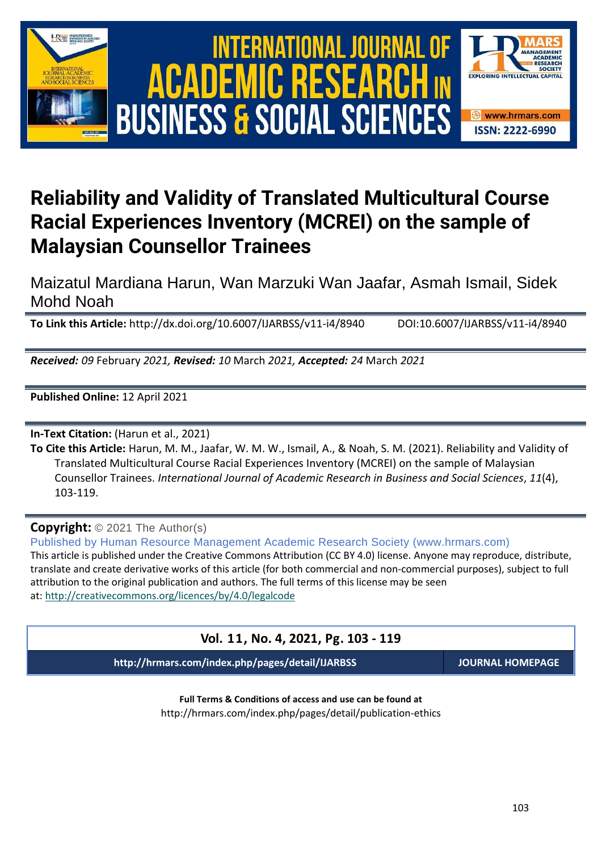



# **Reliability and Validity of Translated Multicultural Course Racial Experiences Inventory (MCREI) on the sample of Malaysian Counsellor Trainees**

Maizatul Mardiana Harun, Wan Marzuki Wan Jaafar, Asmah Ismail, Sidek Mohd Noah

**To Link this Article:** http://dx.doi.org/10.6007/IJARBSS/v11-i4/8940 DOI:10.6007/IJARBSS/v11-i4/8940

*Received: 09* February *2021, Revised: 10* March *2021, Accepted: 24* March *2021*

**Published Online:** 12 April 2021

**In-Text Citation:** (Harun et al., 2021)

**To Cite this Article:** Harun, M. M., Jaafar, W. M. W., Ismail, A., & Noah, S. M. (2021). Reliability and Validity of Translated Multicultural Course Racial Experiences Inventory (MCREI) on the sample of Malaysian Counsellor Trainees. *International Journal of Academic Research in Business and Social Sciences*, *11*(4), 103-119.

**Copyright:** © 2021 The Author(s)

Published by Human Resource Management Academic Research Society (www.hrmars.com) This article is published under the Creative Commons Attribution (CC BY 4.0) license. Anyone may reproduce, distribute, translate and create derivative works of this article (for both commercial and non-commercial purposes), subject to full attribution to the original publication and authors. The full terms of this license may be seen

at: <http://creativecommons.org/licences/by/4.0/legalcode>

# **Vol. 11, No. 4, 2021, Pg. 103 - 119**

**http://hrmars.com/index.php/pages/detail/IJARBSS JOURNAL HOMEPAGE**

**Full Terms & Conditions of access and use can be found at** http://hrmars.com/index.php/pages/detail/publication-ethics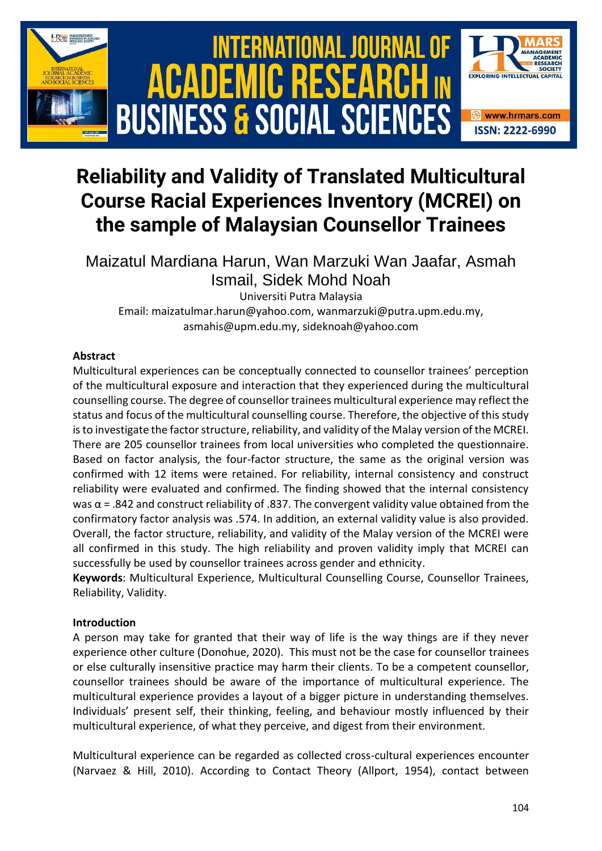

# **Reliability and Validity of Translated Multicultural Course Racial Experiences Inventory (MCREI) on the sample of Malaysian Counsellor Trainees**

Maizatul Mardiana Harun, Wan Marzuki Wan Jaafar, Asmah Ismail, Sidek Mohd Noah

Universiti Putra Malaysia Email: maizatulmar.harun@yahoo.com, wanmarzuki@putra.upm.edu.my, asmahis@upm.edu.my, sideknoah@yahoo.com

#### **Abstract**

Multicultural experiences can be conceptually connected to counsellor trainees' perception of the multicultural exposure and interaction that they experienced during the multicultural counselling course. The degree of counsellor trainees multicultural experience may reflect the status and focus of the multicultural counselling course. Therefore, the objective of this study is to investigate the factor structure, reliability, and validity of the Malay version of the MCREI. There are 205 counsellor trainees from local universities who completed the questionnaire. Based on factor analysis, the four-factor structure, the same as the original version was confirmed with 12 items were retained. For reliability, internal consistency and construct reliability were evaluated and confirmed. The finding showed that the internal consistency was  $α = .842$  and construct reliability of .837. The convergent validity value obtained from the confirmatory factor analysis was .574. In addition, an external validity value is also provided. Overall, the factor structure, reliability, and validity of the Malay version of the MCREI were all confirmed in this study. The high reliability and proven validity imply that MCREI can successfully be used by counsellor trainees across gender and ethnicity.

**Keywords**: Multicultural Experience, Multicultural Counselling Course, Counsellor Trainees, Reliability, Validity.

### **Introduction**

A person may take for granted that their way of life is the way things are if they never experience other culture (Donohue, 2020). This must not be the case for counsellor trainees or else culturally insensitive practice may harm their clients. To be a competent counsellor, counsellor trainees should be aware of the importance of multicultural experience. The multicultural experience provides a layout of a bigger picture in understanding themselves. Individuals' present self, their thinking, feeling, and behaviour mostly influenced by their multicultural experience, of what they perceive, and digest from their environment.

Multicultural experience can be regarded as collected cross-cultural experiences encounter (Narvaez & Hill, 2010). According to Contact Theory (Allport, 1954), contact between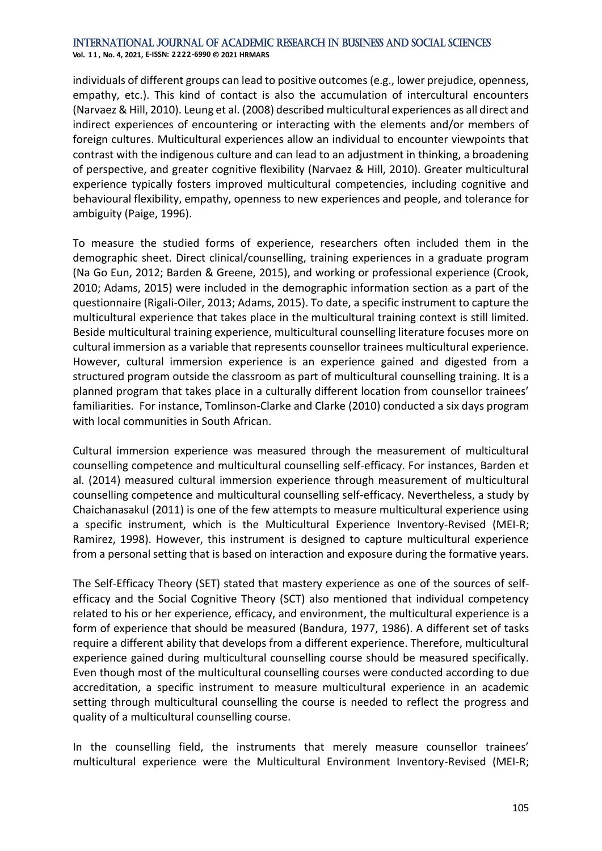**Vol. 1 1 , No. 4, 2021, E-ISSN: 2222-6990 © 2021 HRMARS**

individuals of different groups can lead to positive outcomes (e.g., lower prejudice, openness, empathy, etc.). This kind of contact is also the accumulation of intercultural encounters (Narvaez & Hill, 2010). Leung et al. (2008) described multicultural experiences as all direct and indirect experiences of encountering or interacting with the elements and/or members of foreign cultures. Multicultural experiences allow an individual to encounter viewpoints that contrast with the indigenous culture and can lead to an adjustment in thinking, a broadening of perspective, and greater cognitive flexibility (Narvaez & Hill, 2010). Greater multicultural experience typically fosters improved multicultural competencies, including cognitive and behavioural flexibility, empathy, openness to new experiences and people, and tolerance for ambiguity (Paige, 1996).

To measure the studied forms of experience, researchers often included them in the demographic sheet. Direct clinical/counselling, training experiences in a graduate program (Na Go Eun, 2012; Barden & Greene, 2015), and working or professional experience (Crook, 2010; Adams, 2015) were included in the demographic information section as a part of the questionnaire (Rigali-Oiler, 2013; Adams, 2015). To date, a specific instrument to capture the multicultural experience that takes place in the multicultural training context is still limited. Beside multicultural training experience, multicultural counselling literature focuses more on cultural immersion as a variable that represents counsellor trainees multicultural experience. However, cultural immersion experience is an experience gained and digested from a structured program outside the classroom as part of multicultural counselling training. It is a planned program that takes place in a culturally different location from counsellor trainees' familiarities. For instance, Tomlinson-Clarke and Clarke (2010) conducted a six days program with local communities in South African.

Cultural immersion experience was measured through the measurement of multicultural counselling competence and multicultural counselling self-efficacy. For instances, Barden et al. (2014) measured cultural immersion experience through measurement of multicultural counselling competence and multicultural counselling self-efficacy. Nevertheless, a study by Chaichanasakul (2011) is one of the few attempts to measure multicultural experience using a specific instrument, which is the Multicultural Experience Inventory-Revised (MEI-R; Ramirez, 1998). However, this instrument is designed to capture multicultural experience from a personal setting that is based on interaction and exposure during the formative years.

The Self-Efficacy Theory (SET) stated that mastery experience as one of the sources of selfefficacy and the Social Cognitive Theory (SCT) also mentioned that individual competency related to his or her experience, efficacy, and environment, the multicultural experience is a form of experience that should be measured (Bandura, 1977, 1986). A different set of tasks require a different ability that develops from a different experience. Therefore, multicultural experience gained during multicultural counselling course should be measured specifically. Even though most of the multicultural counselling courses were conducted according to due accreditation, a specific instrument to measure multicultural experience in an academic setting through multicultural counselling the course is needed to reflect the progress and quality of a multicultural counselling course.

In the counselling field, the instruments that merely measure counsellor trainees' multicultural experience were the Multicultural Environment Inventory-Revised (MEI-R;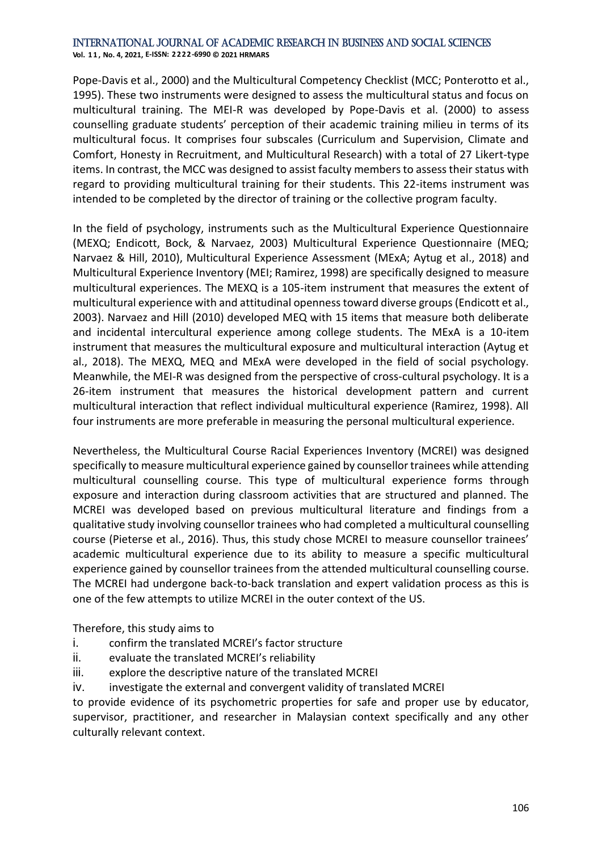**Vol. 1 1 , No. 4, 2021, E-ISSN: 2222-6990 © 2021 HRMARS**

Pope-Davis et al., 2000) and the Multicultural Competency Checklist (MCC; Ponterotto et al., 1995). These two instruments were designed to assess the multicultural status and focus on multicultural training. The MEI-R was developed by Pope-Davis et al. (2000) to assess counselling graduate students' perception of their academic training milieu in terms of its multicultural focus. It comprises four subscales (Curriculum and Supervision, Climate and Comfort, Honesty in Recruitment, and Multicultural Research) with a total of 27 Likert-type items. In contrast, the MCC was designed to assist faculty members to assess their status with regard to providing multicultural training for their students. This 22-items instrument was intended to be completed by the director of training or the collective program faculty.

In the field of psychology, instruments such as the Multicultural Experience Questionnaire (MEXQ; Endicott, Bock, & Narvaez, 2003) Multicultural Experience Questionnaire (MEQ; Narvaez & Hill, 2010), Multicultural Experience Assessment (MExA; Aytug et al., 2018) and Multicultural Experience Inventory (MEI; Ramirez, 1998) are specifically designed to measure multicultural experiences. The MEXQ is a 105-item instrument that measures the extent of multicultural experience with and attitudinal openness toward diverse groups (Endicott et al., 2003). Narvaez and Hill (2010) developed MEQ with 15 items that measure both deliberate and incidental intercultural experience among college students. The MExA is a 10-item instrument that measures the multicultural exposure and multicultural interaction (Aytug et al., 2018). The MEXQ, MEQ and MExA were developed in the field of social psychology. Meanwhile, the MEI-R was designed from the perspective of cross-cultural psychology. It is a 26-item instrument that measures the historical development pattern and current multicultural interaction that reflect individual multicultural experience (Ramirez, 1998). All four instruments are more preferable in measuring the personal multicultural experience.

Nevertheless, the Multicultural Course Racial Experiences Inventory (MCREI) was designed specifically to measure multicultural experience gained by counsellor trainees while attending multicultural counselling course. This type of multicultural experience forms through exposure and interaction during classroom activities that are structured and planned. The MCREI was developed based on previous multicultural literature and findings from a qualitative study involving counsellor trainees who had completed a multicultural counselling course (Pieterse et al., 2016). Thus, this study chose MCREI to measure counsellor trainees' academic multicultural experience due to its ability to measure a specific multicultural experience gained by counsellor trainees from the attended multicultural counselling course. The MCREI had undergone back-to-back translation and expert validation process as this is one of the few attempts to utilize MCREI in the outer context of the US.

Therefore, this study aims to

- i. confirm the translated MCREI's factor structure
- ii. evaluate the translated MCREI's reliability
- iii. explore the descriptive nature of the translated MCREI
- iv. investigate the external and convergent validity of translated MCREI

to provide evidence of its psychometric properties for safe and proper use by educator, supervisor, practitioner, and researcher in Malaysian context specifically and any other culturally relevant context.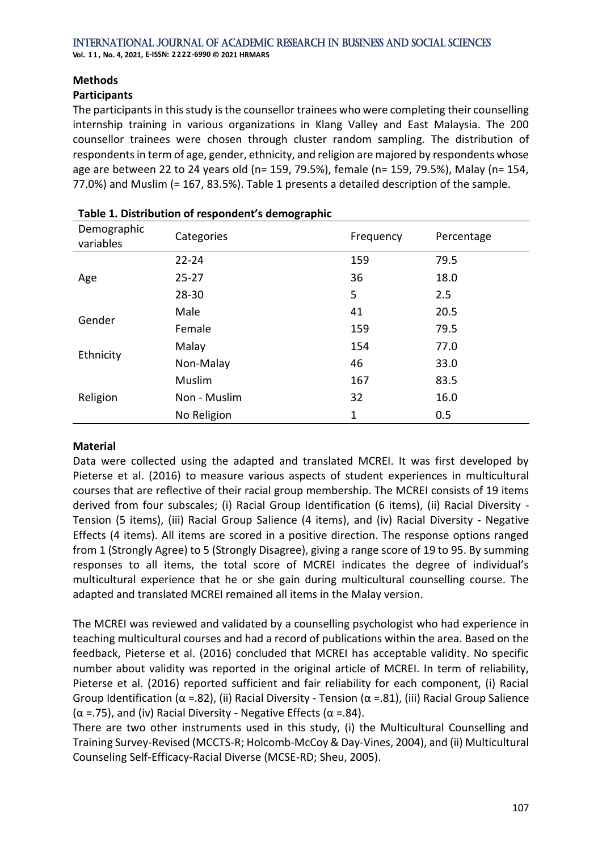#### **Methods**

#### **Participants**

The participants in this study is the counsellor trainees who were completing their counselling internship training in various organizations in Klang Valley and East Malaysia. The 200 counsellor trainees were chosen through cluster random sampling. The distribution of respondents in term of age, gender, ethnicity, and religion are majored by respondents whose age are between 22 to 24 years old (n= 159, 79.5%), female (n= 159, 79.5%), Malay (n= 154, 77.0%) and Muslim (= 167, 83.5%). Table 1 presents a detailed description of the sample.

|                          | ັ            |              |            |
|--------------------------|--------------|--------------|------------|
| Demographic<br>variables | Categories   | Frequency    | Percentage |
|                          | $22 - 24$    | 159          | 79.5       |
| Age                      | $25 - 27$    | 36           | 18.0       |
|                          | $28 - 30$    | 5            | 2.5        |
| Gender                   | Male         | 41           | 20.5       |
|                          | Female       | 159          | 79.5       |
| Ethnicity                | Malay        | 154          | 77.0       |
|                          | Non-Malay    | 46           | 33.0       |
| Religion                 | Muslim       | 167          | 83.5       |
|                          | Non - Muslim | 32           | 16.0       |
|                          | No Religion  | $\mathbf{1}$ | 0.5        |

### **Table 1. Distribution of respondent's demographic**

#### **Material**

Data were collected using the adapted and translated MCREI. It was first developed by Pieterse et al. (2016) to measure various aspects of student experiences in multicultural courses that are reflective of their racial group membership. The MCREI consists of 19 items derived from four subscales; (i) Racial Group Identification (6 items), (ii) Racial Diversity - Tension (5 items), (iii) Racial Group Salience (4 items), and (iv) Racial Diversity - Negative Effects (4 items). All items are scored in a positive direction. The response options ranged from 1 (Strongly Agree) to 5 (Strongly Disagree), giving a range score of 19 to 95. By summing responses to all items, the total score of MCREI indicates the degree of individual's multicultural experience that he or she gain during multicultural counselling course. The adapted and translated MCREI remained all items in the Malay version.

The MCREI was reviewed and validated by a counselling psychologist who had experience in teaching multicultural courses and had a record of publications within the area. Based on the feedback, Pieterse et al. (2016) concluded that MCREI has acceptable validity. No specific number about validity was reported in the original article of MCREI. In term of reliability, Pieterse et al. (2016) reported sufficient and fair reliability for each component, (i) Racial Group Identification ( $\alpha$  =.82), (ii) Racial Diversity - Tension ( $\alpha$  =.81), (iii) Racial Group Salience ( $\alpha$  =.75), and (iv) Racial Diversity - Negative Effects ( $\alpha$  =.84).

There are two other instruments used in this study, (i) the Multicultural Counselling and Training Survey-Revised (MCCTS-R; Holcomb-McCoy & Day-Vines, 2004), and (ii) Multicultural Counseling Self-Efficacy-Racial Diverse (MCSE-RD; Sheu, 2005).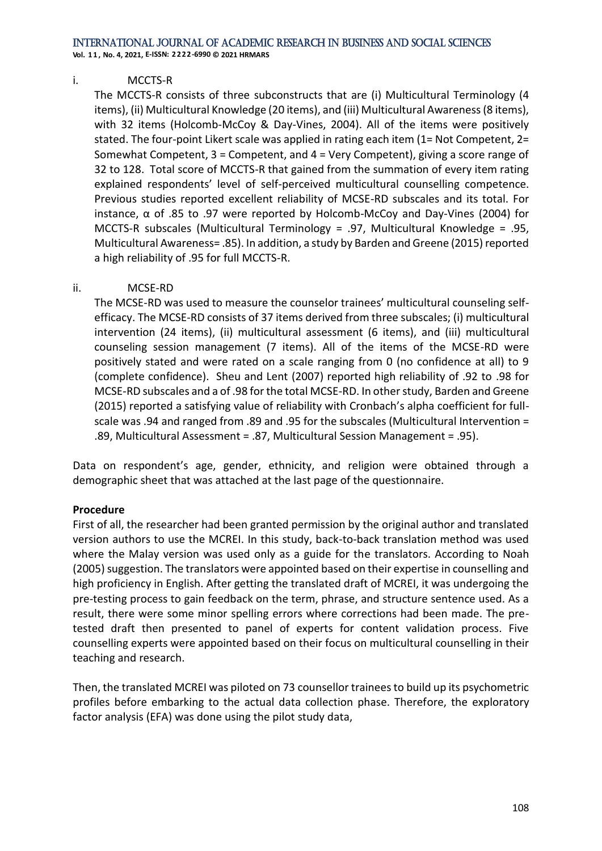**Vol. 1 1 , No. 4, 2021, E-ISSN: 2222-6990 © 2021 HRMARS**

#### i. MCCTS-R

The MCCTS-R consists of three subconstructs that are (i) Multicultural Terminology (4 items), (ii) Multicultural Knowledge (20 items), and (iii) Multicultural Awareness (8 items), with 32 items (Holcomb-McCoy & Day-Vines, 2004). All of the items were positively stated. The four-point Likert scale was applied in rating each item (1= Not Competent, 2= Somewhat Competent, 3 = Competent, and 4 = Very Competent), giving a score range of 32 to 128. Total score of MCCTS-R that gained from the summation of every item rating explained respondents' level of self-perceived multicultural counselling competence. Previous studies reported excellent reliability of MCSE-RD subscales and its total. For instance, α of .85 to .97 were reported by Holcomb-McCoy and Day-Vines (2004) for MCCTS-R subscales (Multicultural Terminology = .97, Multicultural Knowledge = .95, Multicultural Awareness= .85). In addition, a study by Barden and Greene (2015) reported a high reliability of .95 for full MCCTS-R.

#### ii. MCSE-RD

The MCSE-RD was used to measure the counselor trainees' multicultural counseling selfefficacy. The MCSE-RD consists of 37 items derived from three subscales; (i) multicultural intervention (24 items), (ii) multicultural assessment (6 items), and (iii) multicultural counseling session management (7 items). All of the items of the MCSE-RD were positively stated and were rated on a scale ranging from 0 (no confidence at all) to 9 (complete confidence). Sheu and Lent (2007) reported high reliability of .92 to .98 for MCSE-RD subscales and a of .98 for the total MCSE-RD. In other study, Barden and Greene (2015) reported a satisfying value of reliability with Cronbach's alpha coefficient for fullscale was .94 and ranged from .89 and .95 for the subscales (Multicultural Intervention = .89, Multicultural Assessment = .87, Multicultural Session Management = .95).

Data on respondent's age, gender, ethnicity, and religion were obtained through a demographic sheet that was attached at the last page of the questionnaire.

#### **Procedure**

First of all, the researcher had been granted permission by the original author and translated version authors to use the MCREI. In this study, back-to-back translation method was used where the Malay version was used only as a guide for the translators. According to Noah (2005) suggestion. The translators were appointed based on their expertise in counselling and high proficiency in English. After getting the translated draft of MCREI, it was undergoing the pre-testing process to gain feedback on the term, phrase, and structure sentence used. As a result, there were some minor spelling errors where corrections had been made. The pretested draft then presented to panel of experts for content validation process. Five counselling experts were appointed based on their focus on multicultural counselling in their teaching and research.

Then, the translated MCREI was piloted on 73 counsellor trainees to build up its psychometric profiles before embarking to the actual data collection phase. Therefore, the exploratory factor analysis (EFA) was done using the pilot study data,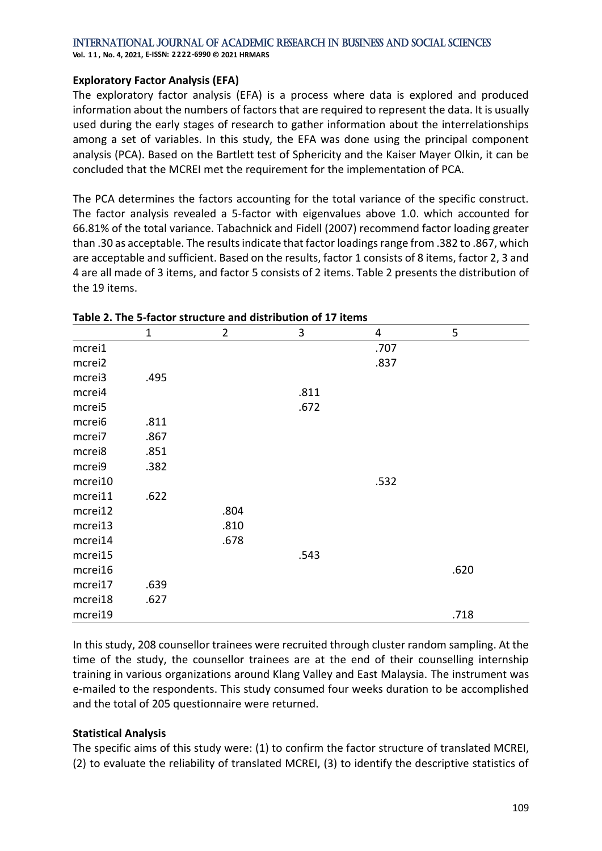**Vol. 1 1 , No. 4, 2021, E-ISSN: 2222-6990 © 2021 HRMARS**

#### **Exploratory Factor Analysis (EFA)**

The exploratory factor analysis (EFA) is a process where data is explored and produced information about the numbers of factors that are required to represent the data. It is usually used during the early stages of research to gather information about the interrelationships among a set of variables. In this study, the EFA was done using the principal component analysis (PCA). Based on the Bartlett test of Sphericity and the Kaiser Mayer Olkin, it can be concluded that the MCREI met the requirement for the implementation of PCA.

The PCA determines the factors accounting for the total variance of the specific construct. The factor analysis revealed a 5-factor with eigenvalues above 1.0. which accounted for 66.81% of the total variance. Tabachnick and Fidell (2007) recommend factor loading greater than .30 as acceptable. The results indicate that factor loadings range from .382 to .867, which are acceptable and sufficient. Based on the results, factor 1 consists of 8 items, factor 2, 3 and 4 are all made of 3 items, and factor 5 consists of 2 items. Table 2 presents the distribution of the 19 items.

|         | $\mathbf{1}$ | $\overline{2}$ | 3    | 4    | 5    |
|---------|--------------|----------------|------|------|------|
| mcrei1  |              |                |      | .707 |      |
| mcrei2  |              |                |      | .837 |      |
| mcrei3  | .495         |                |      |      |      |
| mcrei4  |              |                | .811 |      |      |
| mcrei5  |              |                | .672 |      |      |
| mcrei6  | .811         |                |      |      |      |
| mcrei7  | .867         |                |      |      |      |
| mcrei8  | .851         |                |      |      |      |
| mcrei9  | .382         |                |      |      |      |
| mcrei10 |              |                |      | .532 |      |
| mcrei11 | .622         |                |      |      |      |
| mcrei12 |              | .804           |      |      |      |
| mcrei13 |              | .810           |      |      |      |
| mcrei14 |              | .678           |      |      |      |
| mcrei15 |              |                | .543 |      |      |
| mcrei16 |              |                |      |      | .620 |
| mcrei17 | .639         |                |      |      |      |
| mcrei18 | .627         |                |      |      |      |
| mcrei19 |              |                |      |      | .718 |

#### **Table 2. The 5-factor structure and distribution of 17 items**

In this study, 208 counsellor trainees were recruited through cluster random sampling. At the time of the study, the counsellor trainees are at the end of their counselling internship training in various organizations around Klang Valley and East Malaysia. The instrument was e-mailed to the respondents. This study consumed four weeks duration to be accomplished and the total of 205 questionnaire were returned.

#### **Statistical Analysis**

The specific aims of this study were: (1) to confirm the factor structure of translated MCREI, (2) to evaluate the reliability of translated MCREI, (3) to identify the descriptive statistics of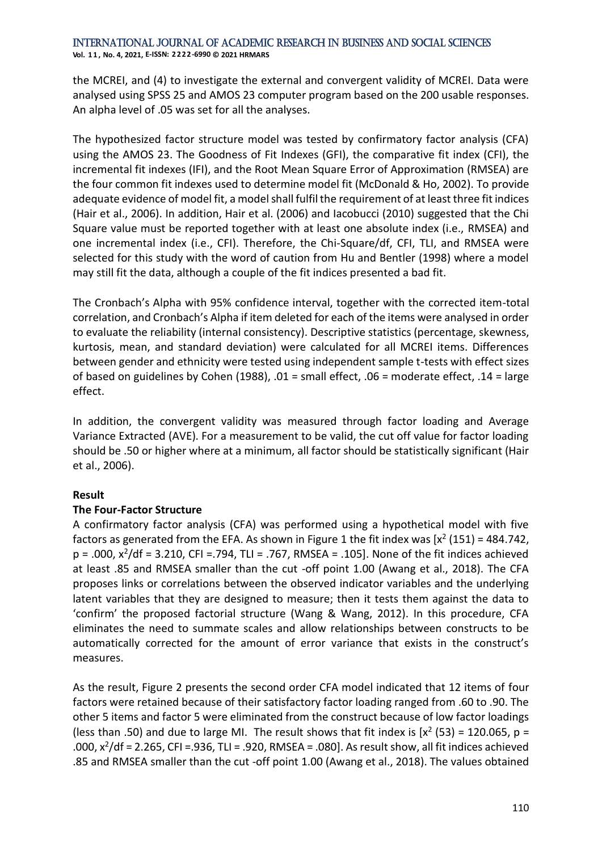the MCREI, and (4) to investigate the external and convergent validity of MCREI. Data were analysed using SPSS 25 and AMOS 23 computer program based on the 200 usable responses. An alpha level of .05 was set for all the analyses.

The hypothesized factor structure model was tested by confirmatory factor analysis (CFA) using the AMOS 23. The Goodness of Fit Indexes (GFI), the comparative fit index (CFI), the incremental fit indexes (IFI), and the Root Mean Square Error of Approximation (RMSEA) are the four common fit indexes used to determine model fit (McDonald & Ho, 2002). To provide adequate evidence of model fit, a model shall fulfil the requirement of at least three fit indices (Hair et al., 2006). In addition, Hair et al. (2006) and Iacobucci (2010) suggested that the Chi Square value must be reported together with at least one absolute index (i.e., RMSEA) and one incremental index (i.e., CFI). Therefore, the Chi-Square/df, CFI, TLI, and RMSEA were selected for this study with the word of caution from Hu and Bentler (1998) where a model may still fit the data, although a couple of the fit indices presented a bad fit.

The Cronbach's Alpha with 95% confidence interval, together with the corrected item-total correlation, and Cronbach's Alpha if item deleted for each of the items were analysed in order to evaluate the reliability (internal consistency). Descriptive statistics (percentage, skewness, kurtosis, mean, and standard deviation) were calculated for all MCREI items. Differences between gender and ethnicity were tested using independent sample t-tests with effect sizes of based on guidelines by Cohen (1988), .01 = small effect, .06 = moderate effect, .14 = large effect.

In addition, the convergent validity was measured through factor loading and Average Variance Extracted (AVE). For a measurement to be valid, the cut off value for factor loading should be .50 or higher where at a minimum, all factor should be statistically significant (Hair et al., 2006).

## **Result**

### **The Four-Factor Structure**

A confirmatory factor analysis (CFA) was performed using a hypothetical model with five factors as generated from the EFA. As shown in Figure 1 the fit index was  $[x^2 (151) = 484.742,$  $p = .000$ ,  $x^2/df = 3.210$ , CFI = .794, TLI = .767, RMSEA = .105]. None of the fit indices achieved at least .85 and RMSEA smaller than the cut -off point 1.00 (Awang et al., 2018). The CFA proposes links or correlations between the observed indicator variables and the underlying latent variables that they are designed to measure; then it tests them against the data to 'confirm' the proposed factorial structure (Wang & Wang, 2012). In this procedure, CFA eliminates the need to summate scales and allow relationships between constructs to be automatically corrected for the amount of error variance that exists in the construct's measures.

As the result, Figure 2 presents the second order CFA model indicated that 12 items of four factors were retained because of their satisfactory factor loading ranged from .60 to .90. The other 5 items and factor 5 were eliminated from the construct because of low factor loadings (less than .50) and due to large MI. The result shows that fit index is  $[x^2 (53) = 120.065, p =$ .000,  $x^2$ /df = 2.265, CFI = .936, TLI = .920, RMSEA = .080]. As result show, all fit indices achieved .85 and RMSEA smaller than the cut -off point 1.00 (Awang et al., 2018). The values obtained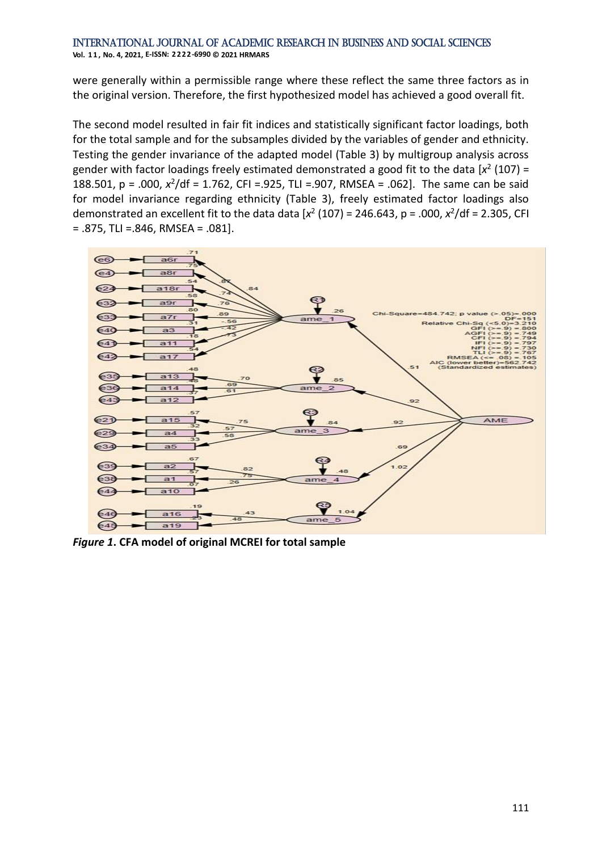were generally within a permissible range where these reflect the same three factors as in the original version. Therefore, the first hypothesized model has achieved a good overall fit.

The second model resulted in fair fit indices and statistically significant factor loadings, both for the total sample and for the subsamples divided by the variables of gender and ethnicity. Testing the gender invariance of the adapted model (Table 3) by multigroup analysis across gender with factor loadings freely estimated demonstrated a good fit to the data  $[x^2 (107) =$ 188.501, p = .000,  $x^2$ /df = 1.762, CFI =.925, TLI =.907, RMSEA = .062]. The same can be said for model invariance regarding ethnicity (Table 3), freely estimated factor loadings also demonstrated an excellent fit to the data data  $[x^2 (107) = 246.643, p = .000, x^2/df = 2.305, CFI$ = .875, TLI =.846, RMSEA = .081].



*Figure 1***. CFA model of original MCREI for total sample**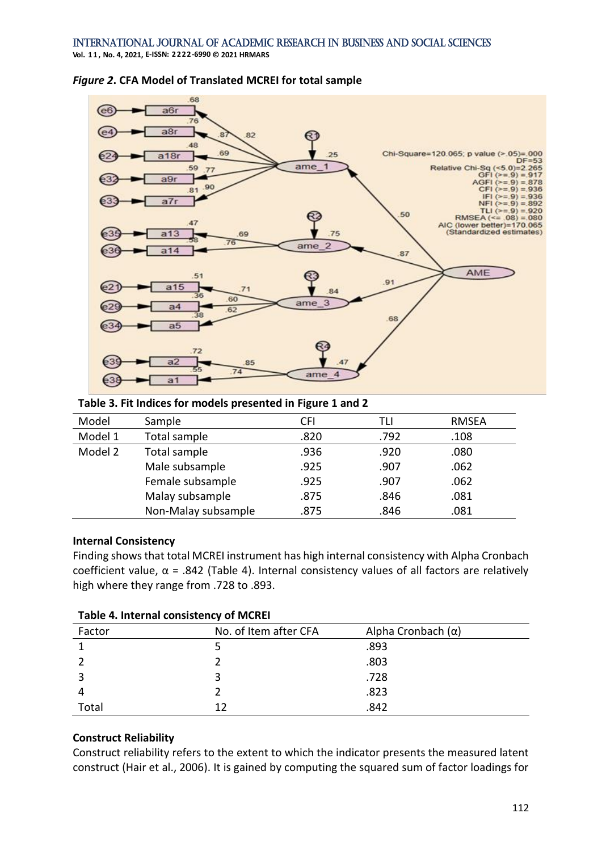68  $a6i$  $76$  $a8r$  $R2$ 48 69 Chi-Square=120.065; p value (>.05)=.000  $a18r$  $25$ DF  $-53$ ame 59 Relative Chi-Sq (<5.0)=2.265 GE  $Q17$ o'  $a9<sub>1</sub>$ AGFI $(>=9)$ 878 .90  $CFI$   $(x = 9)$ 936 .81  $\overline{\phantom{a}}$  $IFI (>= 9)$  $=$ 936  $a7r$ **NFI**  $(>=9)$ 892  $TL1 (= 9)$ 920  $\equiv$ 50 RMSEA<sup>(<</sup>  $= .08) = .080$  $A7$ AIC (lower better)=170.065 (Standardized estimates)  $a13$ 69 75 76 ame  $a14$ 87 AME 51 91  $a15$  $.71$  $84$  $60$ ame  $\overline{3}$ 62 68  $a<sub>5</sub>$  $72$ 85  $\overline{74}$ ame  $635$  $a<sub>1</sub>$ 

#### *Figure 2***. CFA Model of Translated MCREI for total sample**

**Table 3. Fit Indices for models presented in Figure 1 and 2**

| Model   | Sample              | CFI  | TLI  | <b>RMSEA</b> |
|---------|---------------------|------|------|--------------|
| Model 1 | Total sample        | .820 | .792 | .108         |
| Model 2 | Total sample        | .936 | .920 | .080         |
|         | Male subsample      | .925 | .907 | .062         |
|         | Female subsample    | .925 | .907 | .062         |
|         | Malay subsample     | .875 | .846 | .081         |
|         | Non-Malay subsample | .875 | .846 | .081         |

#### **Internal Consistency**

Finding shows that total MCREI instrument has high internal consistency with Alpha Cronbach coefficient value,  $\alpha$  = .842 (Table 4). Internal consistency values of all factors are relatively high where they range from .728 to .893.

| Factor | No. of Item after CFA | Alpha Cronbach $(\alpha)$ |  |  |  |  |  |
|--------|-----------------------|---------------------------|--|--|--|--|--|
|        |                       | .893                      |  |  |  |  |  |
|        |                       | .803                      |  |  |  |  |  |
|        |                       | .728                      |  |  |  |  |  |
|        |                       | .823                      |  |  |  |  |  |
| Total  | 12                    | .842                      |  |  |  |  |  |

#### **Table 4. Internal consistency of MCREI**

### **Construct Reliability**

Construct reliability refers to the extent to which the indicator presents the measured latent construct (Hair et al., 2006). It is gained by computing the squared sum of factor loadings for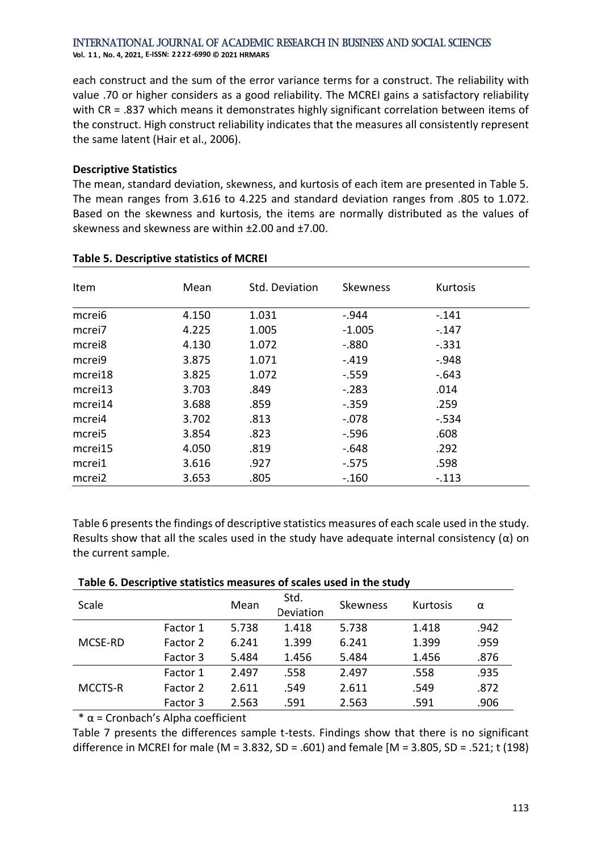**Vol. 1 1 , No. 4, 2021, E-ISSN: 2222-6990 © 2021 HRMARS**

each construct and the sum of the error variance terms for a construct. The reliability with value .70 or higher considers as a good reliability. The MCREI gains a satisfactory reliability with CR = .837 which means it demonstrates highly significant correlation between items of the construct. High construct reliability indicates that the measures all consistently represent the same latent (Hair et al., 2006).

#### **Descriptive Statistics**

The mean, standard deviation, skewness, and kurtosis of each item are presented in Table 5. The mean ranges from 3.616 to 4.225 and standard deviation ranges from .805 to 1.072. Based on the skewness and kurtosis, the items are normally distributed as the values of skewness and skewness are within ±2.00 and ±7.00.

| Item               | Mean  | Std. Deviation | <b>Skewness</b> | Kurtosis |
|--------------------|-------|----------------|-----------------|----------|
| mcrei6             | 4.150 | 1.031          | $-.944$         | $-.141$  |
| mcrei <sub>7</sub> | 4.225 | 1.005          | $-1.005$        | $-.147$  |
| mcrei <sub>8</sub> | 4.130 | 1.072          | $-0.880$        | $-.331$  |
| mcrei9             | 3.875 | 1.071          | $-.419$         | $-0.948$ |
| mcrei18            | 3.825 | 1.072          | $-.559$         | $-.643$  |
| mcrei13            | 3.703 | .849           | $-.283$         | .014     |
| mcrei14            | 3.688 | .859           | $-.359$         | .259     |
| mcrei4             | 3.702 | .813           | $-.078$         | $-.534$  |
| mcrei <sub>5</sub> | 3.854 | .823           | $-.596$         | .608     |
| mcrei15            | 4.050 | .819           | $-.648$         | .292     |
| mcrei1             | 3.616 | .927           | $-0.575$        | .598     |
| mcrei2             | 3.653 | .805           | $-.160$         | $-.113$  |

#### **Table 5. Descriptive statistics of MCREI**

Table 6 presents the findings of descriptive statistics measures of each scale used in the study. Results show that all the scales used in the study have adequate internal consistency ( $\alpha$ ) on the current sample.

| Scale   |          | Mean  | Std.<br>Deviation | Skewness | <b>Kurtosis</b> | α    |
|---------|----------|-------|-------------------|----------|-----------------|------|
|         | Factor 1 | 5.738 | 1.418             | 5.738    | 1.418           | .942 |
| MCSE-RD | Factor 2 | 6.241 | 1.399             | 6.241    | 1.399           | .959 |
|         | Factor 3 | 5.484 | 1.456             | 5.484    | 1.456           | .876 |
|         | Factor 1 | 2.497 | .558              | 2.497    | .558            | .935 |
| MCCTS-R | Factor 2 | 2.611 | .549              | 2.611    | .549            | .872 |
|         | Factor 3 | 2.563 | .591              | 2.563    | .591            | .906 |

#### **Table 6. Descriptive statistics measures of scales used in the study**

 $*\alpha$  = Cronbach's Alpha coefficient

Table 7 presents the differences sample t-tests. Findings show that there is no significant difference in MCREI for male (M = 3.832, SD = .601) and female [M = 3.805, SD = .521; t (198)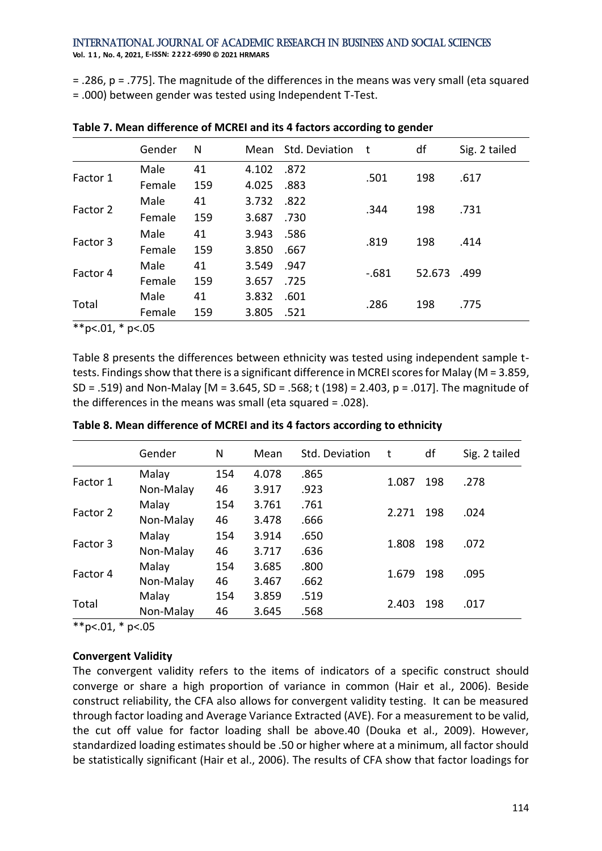= .286, p = .775]. The magnitude of the differences in the means was very small (eta squared = .000) between gender was tested using Independent T-Test.

|          | Gender | N   | Mean  | Std. Deviation | t       | df     | Sig. 2 tailed |
|----------|--------|-----|-------|----------------|---------|--------|---------------|
|          | Male   | 41  | 4.102 | .872           | .501    | 198    | .617          |
| Factor 1 | Female | 159 | 4.025 | .883           |         |        |               |
|          | Male   | 41  | 3.732 | .822           | .344    | 198    | .731          |
| Factor 2 | Female | 159 | 3.687 | .730           |         |        |               |
|          | Male   | 41  | 3.943 | .586           | .819    | 198    | .414          |
| Factor 3 | Female | 159 | 3.850 | .667           |         |        |               |
|          | Male   | 41  | 3.549 | .947           | $-.681$ | 52.673 | .499          |
| Factor 4 | Female | 159 | 3.657 | .725           |         |        |               |
| Total    | Male   | 41  | 3.832 | .601           | .286    | 198    | .775          |
|          | Female | 159 | 3.805 | .521           |         |        |               |

**Table 7. Mean difference of MCREI and its 4 factors according to gender**

 $*$ \* $p$ <.01,  $*$   $p$ <.05

Table 8 presents the differences between ethnicity was tested using independent sample ttests. Findings show that there is a significant difference in MCREI scores for Malay (M = 3.859, SD = .519) and Non-Malay [M = 3.645, SD = .568; t (198) = 2.403, p = .017]. The magnitude of the differences in the means was small (eta squared = .028).

|          | Gender    | N   | Mean  | Std. Deviation | t     | df  | Sig. 2 tailed |
|----------|-----------|-----|-------|----------------|-------|-----|---------------|
|          | Malay     | 154 | 4.078 | .865           |       |     |               |
| Factor 1 | Non-Malay | 46  | 3.917 | .923           | 1.087 | 198 | .278          |
| Factor 2 | Malay     | 154 | 3.761 | .761           | 2.271 | 198 | .024          |
|          | Non-Malay | 46  | 3.478 | .666           |       |     |               |
|          | Malay     | 154 | 3.914 | .650           | 1.808 | 198 | .072          |
| Factor 3 | Non-Malay | 46  | 3.717 | .636           |       |     |               |
|          | Malay     | 154 | 3.685 | .800           |       | 198 |               |
| Factor 4 | Non-Malay | 46  | 3.467 | .662           | 1.679 |     | .095          |
| Total    | Malay     | 154 | 3.859 | .519           |       |     |               |
|          | Non-Malay | 46  | 3.645 | .568           | 2.403 | 198 | .017          |

**Table 8. Mean difference of MCREI and its 4 factors according to ethnicity**

 $*$  $p$  <.01,  $*$  p <.05

### **Convergent Validity**

The convergent validity refers to the items of indicators of a specific construct should converge or share a high proportion of variance in common (Hair et al., 2006). Beside construct reliability, the CFA also allows for convergent validity testing. It can be measured through factor loading and Average Variance Extracted (AVE). For a measurement to be valid, the cut off value for factor loading shall be above.40 (Douka et al., 2009). However, standardized loading estimates should be .50 or higher where at a minimum, all factor should be statistically significant (Hair et al., 2006). The results of CFA show that factor loadings for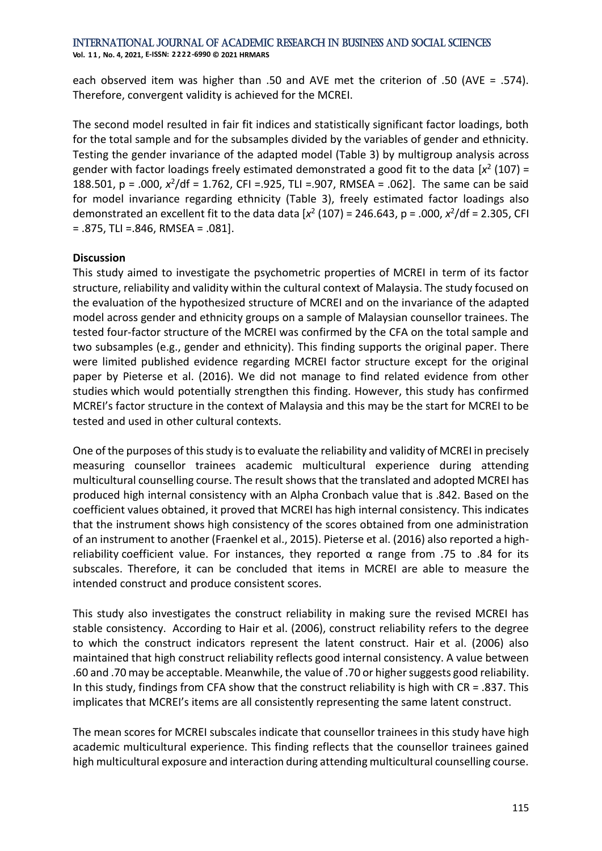**Vol. 1 1 , No. 4, 2021, E-ISSN: 2222-6990 © 2021 HRMARS**

each observed item was higher than .50 and AVE met the criterion of .50 (AVE = .574). Therefore, convergent validity is achieved for the MCREI.

The second model resulted in fair fit indices and statistically significant factor loadings, both for the total sample and for the subsamples divided by the variables of gender and ethnicity. Testing the gender invariance of the adapted model (Table 3) by multigroup analysis across gender with factor loadings freely estimated demonstrated a good fit to the data  $[x^2 (107) =$ 188.501, p = .000,  $x^2$ /df = 1.762, CFI =.925, TLI =.907, RMSEA = .062]. The same can be said for model invariance regarding ethnicity (Table 3), freely estimated factor loadings also demonstrated an excellent fit to the data data  $[x^2 (107) = 246.643, p = .000, x^2/df = 2.305, CFI$  $= .875$ , TLI  $= .846$ , RMSEA  $= .081$ ].

### **Discussion**

This study aimed to investigate the psychometric properties of MCREI in term of its factor structure, reliability and validity within the cultural context of Malaysia. The study focused on the evaluation of the hypothesized structure of MCREI and on the invariance of the adapted model across gender and ethnicity groups on a sample of Malaysian counsellor trainees. The tested four-factor structure of the MCREI was confirmed by the CFA on the total sample and two subsamples (e.g., gender and ethnicity). This finding supports the original paper. There were limited published evidence regarding MCREI factor structure except for the original paper by Pieterse et al. (2016). We did not manage to find related evidence from other studies which would potentially strengthen this finding. However, this study has confirmed MCREI's factor structure in the context of Malaysia and this may be the start for MCREI to be tested and used in other cultural contexts.

One of the purposes of this study is to evaluate the reliability and validity of MCREI in precisely measuring counsellor trainees academic multicultural experience during attending multicultural counselling course. The result shows that the translated and adopted MCREI has produced high internal consistency with an Alpha Cronbach value that is .842. Based on the coefficient values obtained, it proved that MCREI has high internal consistency. This indicates that the instrument shows high consistency of the scores obtained from one administration of an instrument to another (Fraenkel et al., 2015). Pieterse et al. (2016) also reported a highreliability coefficient value. For instances, they reported  $\alpha$  range from .75 to .84 for its subscales. Therefore, it can be concluded that items in MCREI are able to measure the intended construct and produce consistent scores.

This study also investigates the construct reliability in making sure the revised MCREI has stable consistency. According to Hair et al. (2006), construct reliability refers to the degree to which the construct indicators represent the latent construct. Hair et al. (2006) also maintained that high construct reliability reflects good internal consistency. A value between .60 and .70 may be acceptable. Meanwhile, the value of .70 or higher suggests good reliability. In this study, findings from CFA show that the construct reliability is high with CR = .837. This implicates that MCREI's items are all consistently representing the same latent construct.

The mean scores for MCREI subscales indicate that counsellor trainees in this study have high academic multicultural experience. This finding reflects that the counsellor trainees gained high multicultural exposure and interaction during attending multicultural counselling course.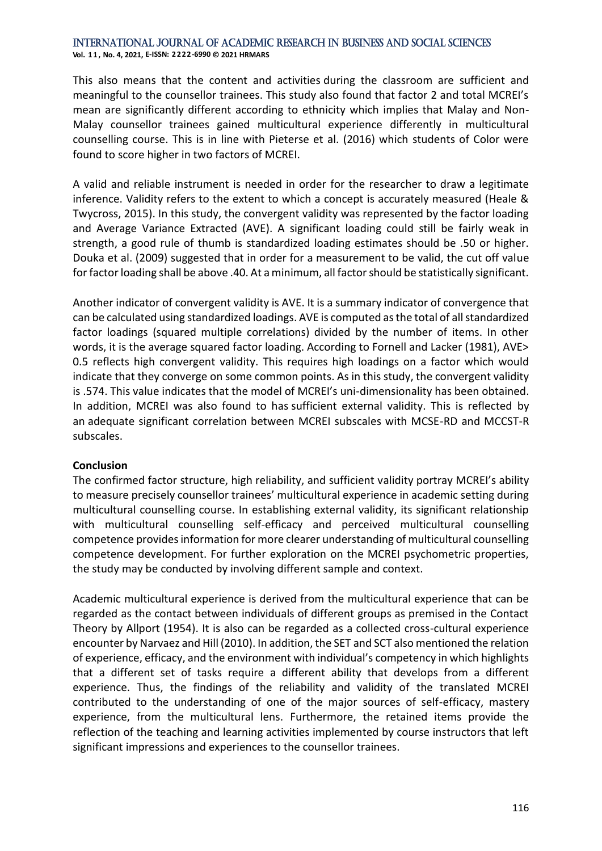**Vol. 1 1 , No. 4, 2021, E-ISSN: 2222-6990 © 2021 HRMARS**

This also means that the content and activities during the classroom are sufficient and meaningful to the counsellor trainees. This study also found that factor 2 and total MCREI's mean are significantly different according to ethnicity which implies that Malay and Non-Malay counsellor trainees gained multicultural experience differently in multicultural counselling course. This is in line with Pieterse et al. (2016) which students of Color were found to score higher in two factors of MCREI.

A valid and reliable instrument is needed in order for the researcher to draw a legitimate inference. Validity refers to the extent to which a concept is accurately measured (Heale & Twycross, 2015). In this study, the convergent validity was represented by the factor loading and Average Variance Extracted (AVE). A significant loading could still be fairly weak in strength, a good rule of thumb is standardized loading estimates should be .50 or higher. Douka et al. (2009) suggested that in order for a measurement to be valid, the cut off value for factor loading shall be above .40. At a minimum, all factor should be statistically significant.

Another indicator of convergent validity is AVE. It is a summary indicator of convergence that can be calculated using standardized loadings. AVE is computed as the total of all standardized factor loadings (squared multiple correlations) divided by the number of items. In other words, it is the average squared factor loading. According to Fornell and Lacker (1981), AVE> 0.5 reflects high convergent validity. This requires high loadings on a factor which would indicate that they converge on some common points. As in this study, the convergent validity is .574. This value indicates that the model of MCREI's uni-dimensionality has been obtained. In addition, MCREI was also found to has sufficient external validity. This is reflected by an adequate significant correlation between MCREI subscales with MCSE-RD and MCCST-R subscales.

#### **Conclusion**

The confirmed factor structure, high reliability, and sufficient validity portray MCREI's ability to measure precisely counsellor trainees' multicultural experience in academic setting during multicultural counselling course. In establishing external validity, its significant relationship with multicultural counselling self-efficacy and perceived multicultural counselling competence provides information for more clearer understanding of multicultural counselling competence development. For further exploration on the MCREI psychometric properties, the study may be conducted by involving different sample and context.

Academic multicultural experience is derived from the multicultural experience that can be regarded as the contact between individuals of different groups as premised in the Contact Theory by Allport (1954). It is also can be regarded as a collected cross-cultural experience encounter by Narvaez and Hill (2010). In addition, the SET and SCT also mentioned the relation of experience, efficacy, and the environment with individual's competency in which highlights that a different set of tasks require a different ability that develops from a different experience. Thus, the findings of the reliability and validity of the translated MCREI contributed to the understanding of one of the major sources of self-efficacy, mastery experience, from the multicultural lens. Furthermore, the retained items provide the reflection of the teaching and learning activities implemented by course instructors that left significant impressions and experiences to the counsellor trainees.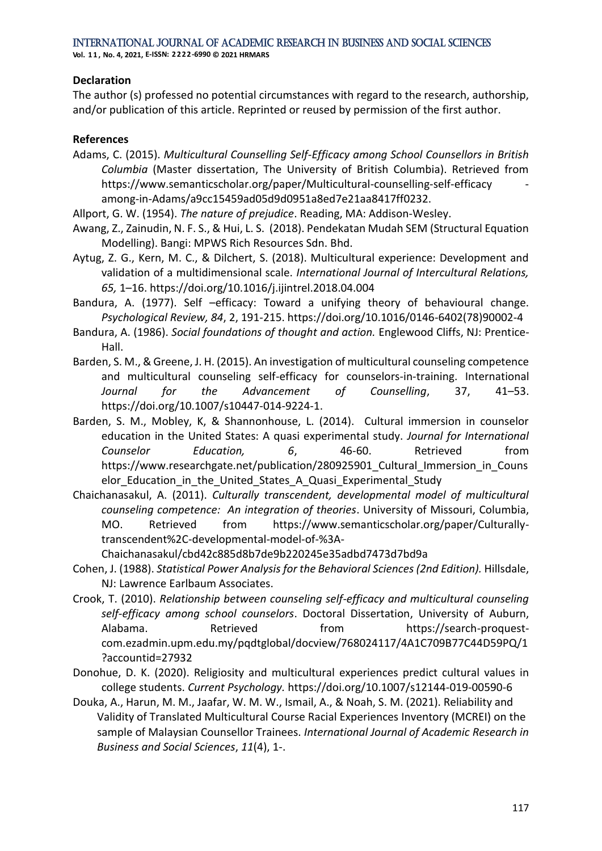**Vol. 1 1 , No. 4, 2021, E-ISSN: 2222-6990 © 2021 HRMARS**

#### **Declaration**

The author (s) professed no potential circumstances with regard to the research, authorship, and/or publication of this article. Reprinted or reused by permission of the first author.

#### **References**

Adams, C. (2015). *Multicultural Counselling Self-Efficacy among School Counsellors in British Columbia* (Master dissertation, The University of British Columbia). Retrieved from https://www.semanticscholar.org/paper/Multicultural-counselling-self-efficacy among-in-Adams/a9cc15459ad05d9d0951a8ed7e21aa8417ff0232.

Allport, G. W. (1954). *The nature of prejudice*. Reading, MA: Addison-Wesley.

- Awang, Z., Zainudin, N. F. S., & Hui, L. S. (2018). Pendekatan Mudah SEM (Structural Equation Modelling). Bangi: MPWS Rich Resources Sdn. Bhd.
- Aytug, Z. G., Kern, M. C., & Dilchert, S. (2018). Multicultural experience: Development and validation of a multidimensional scale. *International Journal of Intercultural Relations, 65,* 1–16. https://doi.org/10.1016/j.ijintrel.2018.04.004
- Bandura, A. (1977). Self –efficacy: Toward a unifying theory of behavioural change. *Psychological Review, 84*, 2, 191-215. https://doi.org/10.1016/0146-6402(78)90002-4
- Bandura, A. (1986). *Social foundations of thought and action.* Englewood Cliffs, NJ: Prentice-Hall.
- Barden, S. M., & Greene, J. H. (2015). An investigation of multicultural counseling competence and multicultural counseling self-efficacy for counselors-in-training. International *Journal for the Advancement of Counselling*, 37, 41–53. https://doi.org/10.1007/s10447-014-9224-1.
- Barden, S. M., Mobley, K, & Shannonhouse, L. (2014). Cultural immersion in counselor education in the United States: A quasi experimental study. *Journal for International Counselor Education, 6*, 46-60. Retrieved from https://www.researchgate.net/publication/280925901 Cultural Immersion in Couns elor Education in the United States A Quasi Experimental Study
- Chaichanasakul, A. (2011). *Culturally transcendent, developmental model of multicultural counseling competence: An integration of theories*. University of Missouri, Columbia, MO. Retrieved from https://www.semanticscholar.org/paper/Culturallytranscendent%2C-developmental-model-of-%3A-

Chaichanasakul/cbd42c885d8b7de9b220245e35adbd7473d7bd9a

- Cohen, J. (1988). *Statistical Power Analysis for the Behavioral Sciences (2nd Edition).* Hillsdale, NJ: Lawrence Earlbaum Associates.
- Crook, T. (2010). *Relationship between counseling self-efficacy and multicultural counseling self-efficacy among school counselors*. Doctoral Dissertation, University of Auburn, Alabama. Retrieved from https://search-proquestcom.ezadmin.upm.edu.my/pqdtglobal/docview/768024117/4A1C709B77C44D59PQ/1 ?accountid=27932
- Donohue, D. K. (2020). Religiosity and multicultural experiences predict cultural values in college students. *Current Psychology.* https://doi.org/10.1007/s12144-019-00590-6
- Douka, A., Harun, M. M., Jaafar, W. M. W., Ismail, A., & Noah, S. M. (2021). Reliability and Validity of Translated Multicultural Course Racial Experiences Inventory (MCREI) on the sample of Malaysian Counsellor Trainees. *International Journal of Academic Research in Business and Social Sciences*, *11*(4), 1-.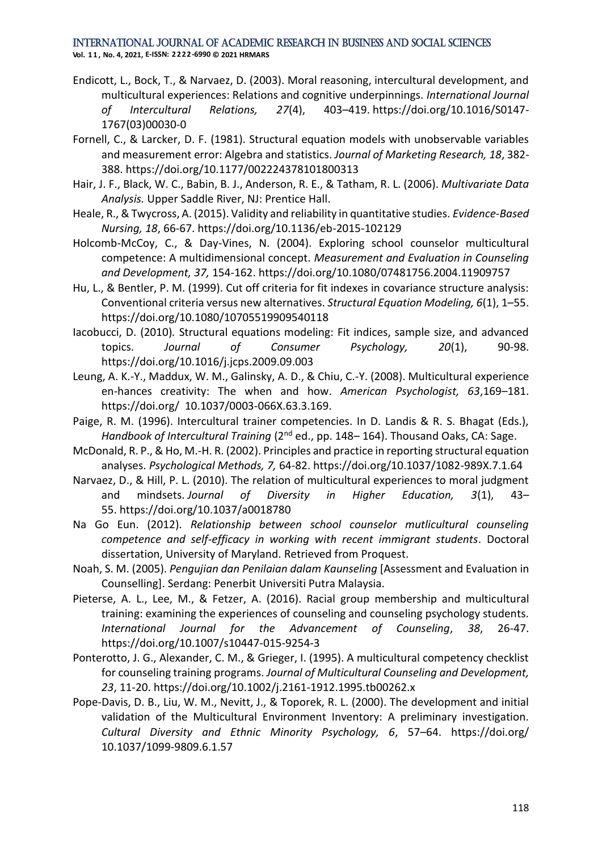- Endicott, L., Bock, T., & Narvaez, D. (2003). Moral reasoning, intercultural development, and multicultural experiences: Relations and cognitive underpinnings. *International Journal of Intercultural Relations, 27*(4), 403–419. https://doi.org/10.1016/S0147- 1767(03)00030-0
- Fornell, C., & Larcker, D. F. (1981). Structural equation models with unobservable variables and measurement error: Algebra and statistics. *Journal of Marketing Research, 18*, 382- 388. https://doi.org/10.1177/002224378101800313
- Hair, J. F., Black, W. C., Babin, B. J., Anderson, R. E., & Tatham, R. L. (2006). *Multivariate Data Analysis.* Upper Saddle River, NJ: Prentice Hall.
- Heale, R., & Twycross, A. (2015). Validity and reliability in quantitative studies. *Evidence-Based Nursing, 18*, 66-67. https://doi.org/10.1136/eb-2015-102129
- Holcomb-McCoy, C., & Day-Vines, N. (2004). Exploring school counselor multicultural competence: A multidimensional concept. *Measurement and Evaluation in Counseling and Development, 37,* 154-162. https://doi.org/10.1080/07481756.2004.11909757
- Hu, L., & Bentler, P. M. (1999). Cut off criteria for fit indexes in covariance structure analysis: Conventional criteria versus new alternatives. *Structural Equation Modeling, 6*(1), 1–55. https://doi.org/10.1080/10705519909540118
- Iacobucci, D. (2010)*.* Structural equations modeling: Fit indices, sample size, and advanced topics. *Journal of Consumer Psychology, 20*(1), 90-98. https://doi.org/10.1016/j.jcps.2009.09.003
- Leung, A. K.-Y., Maddux, W. M., Galinsky, A. D., & Chiu, C.-Y. (2008). Multicultural experience en-hances creativity: The when and how. *American Psychologist, 63*,169–181. https://doi.org/ 10.1037/0003-066X.63.3.169.
- Paige, R. M. (1996). Intercultural trainer competencies. In D. Landis & R. S. Bhagat (Eds.), *Handbook of Intercultural Training* (2nd ed., pp. 148– 164). Thousand Oaks, CA: Sage.
- McDonald, R. P., & Ho, M.-H. R. (2002). Principles and practice in reporting structural equation analyses. *Psychological Methods, 7,* 64-82. https://doi.org/10.1037/1082-989X.7.1.64
- Narvaez, D., & Hill, P. L. (2010). The relation of multicultural experiences to moral judgment and mindsets. *Journal of Diversity in Higher Education, 3*(1), 43– 55. https://doi.org/10.1037/a0018780
- Na Go Eun. (2012). *Relationship between school counselor mutlicultural counseling competence and self-efficacy in working with recent immigrant students*. Doctoral dissertation, University of Maryland. Retrieved from Proquest.
- Noah, S. M. (2005). *Pengujian dan Penilaian dalam Kaunseling* [Assessment and Evaluation in Counselling]. Serdang: Penerbit Universiti Putra Malaysia.
- Pieterse, A. L., Lee, M., & Fetzer, A. (2016). Racial group membership and multicultural training: examining the experiences of counseling and counseling psychology students. *International Journal for the Advancement of Counseling*, *38*, 26-47. https://doi.org/10.1007/s10447-015-9254-3
- Ponterotto, J. G., Alexander, C. M., & Grieger, I. (1995). A multicultural competency checklist for counseling training programs. *Journal of Multicultural Counseling and Development, 23*, 11-20. https://doi.org/10.1002/j.2161-1912.1995.tb00262.x
- Pope-Davis, D. B., Liu, W. M., Nevitt, J., & Toporek, R. L. (2000). The development and initial validation of the Multicultural Environment Inventory: A preliminary investigation. *Cultural Diversity and Ethnic Minority Psychology, 6*, 57–64. https://doi.org/ 10.1037/1099-9809.6.1.57